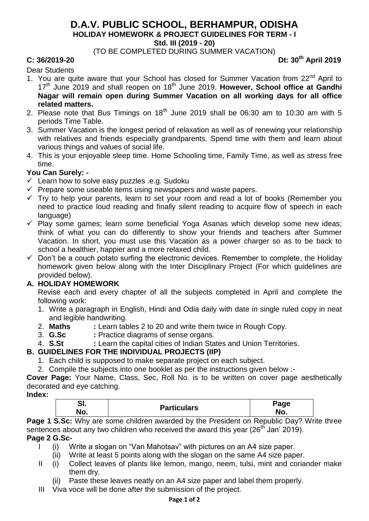### **D.A.V. PUBLIC SCHOOL, BERHAMPUR, ODISHA HOLIDAY HOMEWORK & PROJECT GUIDELINES FOR TERM - I Std. III (2019 - 20)**

(TO BE COMPLETED DURING SUMMER VACATION)

**C: 36/2019-20 Dt: 30th April 2019**

Dear Students

- 1. You are quite aware that your School has closed for Summer Vacation from 22<sup>nd</sup> April to 17th June 2019 and shall reopen on 18th June 2019. **However, School office at Gandhi Nagar will remain open during Summer Vacation on all working days for all office related matters.**
- 2. Please note that Bus Timings on  $18<sup>th</sup>$  June 2019 shall be 06:30 am to 10:30 am with 5 periods Time Table.
- 3. Summer Vacation is the longest period of relaxation as well as of renewing your relationship with relatives and friends especially grandparents. Spend time with them and learn about various things and values of social life.
- 4. This is your enjoyable sleep time. Home Schooling time, Family Time, as well as stress free time.

#### **You Can Surely: -**

- $\checkmark$  Learn how to solve easy puzzles .e.g. Sudoku
- $\checkmark$  Prepare some useable items using newspapers and waste papers.
- $\checkmark$  Try to help your parents, learn to set your room and read a lot of books (Remember you need to practice loud reading and finally silent reading to acquire flow of speech in each language)
- $\checkmark$  Play some games; learn some beneficial Yoga Asanas which develop some new ideas; think of what you can do differently to show your friends and teachers after Summer Vacation. In short, you must use this Vacation as a power charger so as to be back to school a healthier, happier and a more relaxed child.
- $\checkmark$  Don't be a couch potato surfing the electronic devices. Remember to complete, the Holiday homework given below along with the Inter Disciplinary Project (For which guidelines are provided below).

#### **A. HOLIDAY HOMEWORK**

Revise each and every chapter of all the subjects completed in April and complete the following work:

- 1. Write a paragraph in English, Hindi and Odia daily with date in single ruled copy in neat and legible handwriting.
- 2. **Maths :** Learn tables 2 to 20 and write them twice in Rough Copy.
- 3. **G.Sc** : Practice diagrams of sense organs.<br>4. **S.St** : Learn the capital cities of Indian Sta
- 4. **S.St :** Learn the capital cities of Indian States and Union Territories.

#### **B. GUIDELINES FOR THE INDIVIDUAL PROJECTS (IIP)**

- 1. Each child is supposed to make separate project on each subject.
- 2. Compile the subjects into one booklet as per the instructions given below :-

**Cover Page:** Your Name, Class, Sec, Roll No. is to be written on cover page aesthetically decorated and eye catching.

**Index:**

| יי  |                    | Page |
|-----|--------------------|------|
| No. | <b>Particulars</b> | No.  |

**Page 1 S.Sc:** Why are some children awarded by the President on Republic Day? Write three sentences about any two children who received the award this year ( $26<sup>th</sup>$  Jan' 2019).

**Page 2 G.Sc-**

- I (i) Write a slogan on "Van Mahotsav" with pictures on an A4 size paper.
	- (ii) Write at least 5 points along with the slogan on the same A4 size paper.
- II (i) Collect leaves of plants like lemon, mango, neem, tulsi, mint and coriander make them dry.
	- (ii) Paste these leaves neatly on an A4 size paper and label them properly.
- III Viva voce will be done after the submission of the project.